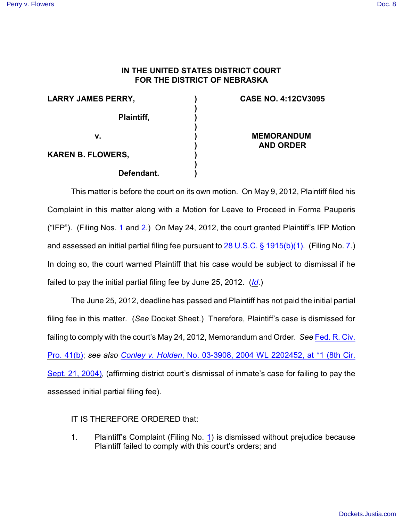## **IN THE UNITED STATES DISTRICT COURT FOR THE DISTRICT OF NEBRASKA**

| <b>LARRY JAMES PERRY,</b> |            |  |
|---------------------------|------------|--|
|                           | Plaintiff, |  |
| v.                        |            |  |
| KAREN B. FLOWERS,         |            |  |
|                           | Defendant. |  |

## **CASE NO. 4:12CV3095**

**MEMORANDUM AND ORDER**

This matter is before the court on its own motion. On May 9, 2012, Plaintiff filed his Complaint in this matter along with a Motion for Leave to Proceed in Forma Pauperis ("IFP"). (Filing Nos. [1](https://ecf.ned.uscourts.gov/doc1/11312522708) and [2](https://ecf.ned.uscourts.gov/doc1/11312522711).) On May 24, 2012, the court granted Plaintiff's IFP Motion and assessed an initial partial filing fee pursuant to [28 U.S.C. § 1915\(b\)\(1\)](http://web2.westlaw.com/find/default.wl?rs=WLW9.11&ifm=NotSet&fn=_top&sv=Split&cite=28+U.S.C.+%c2%a7+1915(b)(1)&vr=2.0&rp=%2ffind%2fdefault.wl&mt=26). (Filing No. [7](https://ecf.ned.uscourts.gov/doc1/11312532920).) In doing so, the court warned Plaintiff that his case would be subject to dismissal if he failed to pay the initial partial filing fee by June 25, 2012. (*[Id](https://ecf.ned.uscourts.gov/doc1/11312532920)*.)

The June 25, 2012, deadline has passed and Plaintiff has not paid the initial partial filing fee in this matter. (*See* Docket Sheet.) Therefore, Plaintiff's case is dismissed for failing to comply with the court's May 24, 2012, Memorandum and Order. *See* [Fed. R. Civ.](http://web2.westlaw.com/find/default.wl?rs=WLW9.11&ifm=NotSet&fn=_top&sv=Split&cite=Fed.+R.+Civ.+P.+41&vr=2.0&rp=%2ffind%2fdefault.wl&mt=26) [Pro. 41\(b\)](http://web2.westlaw.com/find/default.wl?rs=WLW9.11&ifm=NotSet&fn=_top&sv=Split&cite=Fed.+R.+Civ.+P.+41&vr=2.0&rp=%2ffind%2fdefault.wl&mt=26); *see also Conley v. Holden*[, No. 03-3908, 2004 WL 2202452, at \\*1 \(8th Cir.](http://web2.westlaw.com/find/default.wl?rs=WLW9.11&ifm=NotSet&fn=_top&sv=Split&cite=2004+WL+2202452&vr=2.0&rp=%2ffind%2fdefault.wl&mt=Westlaw) [Sept. 21, 2004\)](http://web2.westlaw.com/find/default.wl?rs=WLW9.11&ifm=NotSet&fn=_top&sv=Split&cite=2004+WL+2202452&vr=2.0&rp=%2ffind%2fdefault.wl&mt=Westlaw), (affirming district court's dismissal of inmate's case for failing to pay the assessed initial partial filing fee).

## IT IS THEREFORE ORDERED that:

1. Plaintiff's Complaint (Filing No. [1](https://ecf.ned.uscourts.gov/doc1/11312522708)) is dismissed without prejudice because Plaintiff failed to comply with this court's orders; and